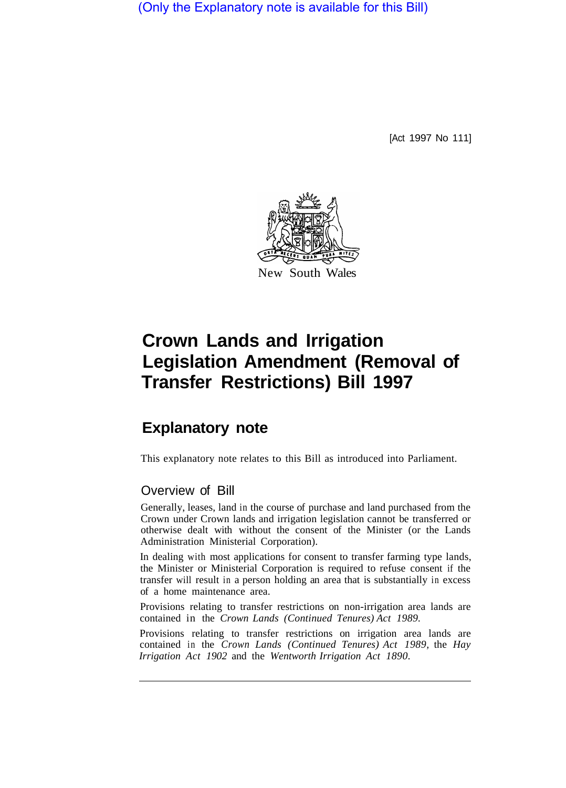(Only the Explanatory note is available for this Bill)

[Act 1997 No 111]



# **Crown Lands and Irrigation Legislation Amendment (Removal of Transfer Restrictions) Bill 1997**

# **Explanatory note**

This explanatory note relates to this Bill as introduced into Parliament.

# Overview of Bill

Generally, leases, land in the course of purchase and land purchased from the Crown under Crown lands and irrigation legislation cannot be transferred or otherwise dealt with without the consent of the Minister (or the Lands Administration Ministerial Corporation).

In dealing with most applications for consent to transfer farming type lands, the Minister or Ministerial Corporation is required to refuse consent if the transfer will result in a person holding an area that is substantially in excess of a home maintenance area.

Provisions relating to transfer restrictions on non-irrigation area lands are contained in the *Crown Lands (Continued Tenures) Act 1989.* 

Provisions relating to transfer restrictions on irrigation area lands are contained in the *Crown Lands (Continued Tenures) Act 1989,* the *Hay Irrigation Act 1902* and the *Wentworth Irrigation Act 1890.*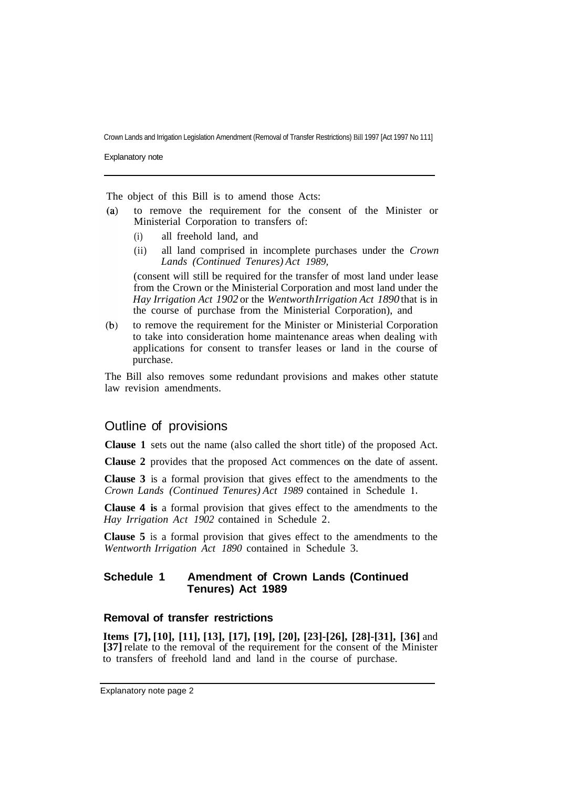Crown Lands and Irrigation Legislation Amendment (Removal of Transfer Restrictions) Bill 1997 [Act 1997 No 111]

Explanatory note

The object of this Bill is to amend those Acts:

- $(a)$ to remove the requirement for the consent of the Minister or Ministerial Corporation to transfers of:
	- (i) all freehold land, and
	- (ii) all land comprised in incomplete purchases under the *Crown Lands (Continued Tenures) Act 1989,*

(consent will still be required for the transfer of most land under lease from the Crown or the Ministerial Corporation and most land under the *Hay Irrigation Act 1902* or the *Wentworth Irrigation Act 1890* that is in the course of purchase from the Ministerial Corporation), and

to remove the requirement for the Minister or Ministerial Corporation  $(b)$ to take into consideration home maintenance areas when dealing with applications for consent to transfer leases or land in the course of purchase.

The Bill also removes some redundant provisions and makes other statute law revision amendments.

## Outline of provisions

**Clause 1** sets out the name (also called the short title) of the proposed Act.

**Clause 2** provides that the proposed Act commences on the date of assent.

**Clause 3** is a formal provision that gives effect to the amendments to the *Crown Lands (Continued Tenures) Act 1989* contained in Schedule **1.** 

**Clause 4 is** a formal provision that gives effect to the amendments to the *Hay Irrigation Act 1902* contained in Schedule 2.

**Clause 5** is a formal provision that gives effect to the amendments to the *Wentworth Irrigation Act 1890* contained in Schedule 3.

#### **Schedule 1 Amendment of Crown Lands (Continued Tenures) Act 1989**

#### **Removal of transfer restrictions**

**Items [7], [10], [11], [13], [17], [19], [20], [23]-[26], [28]-[31], [36]** and **[37]** relate to the removal of the requirement for the consent of the Minister to transfers of freehold land and land in the course of purchase.